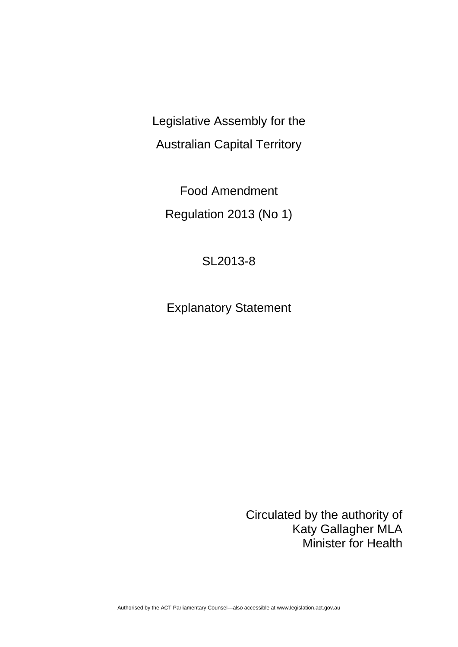Legislative Assembly for the Australian Capital Territory

Food Amendment Regulation 2013 (No 1)

## SL2013-8

Explanatory Statement

Circulated by the authority of Katy Gallagher MLA Minister for Health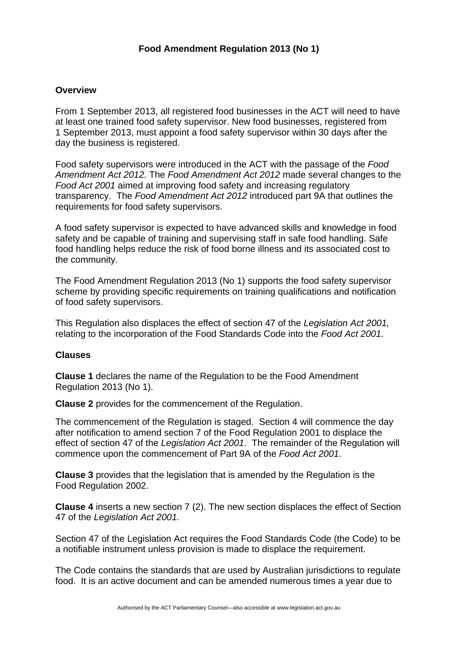## **Food Amendment Regulation 2013 (No 1)**

## **Overview**

From 1 September 2013, all registered food businesses in the ACT will need to have at least one trained food safety supervisor. New food businesses, registered from 1 September 2013, must appoint a food safety supervisor within 30 days after the day the business is registered.

Food safety supervisors were introduced in the ACT with the passage of the *Food Amendment Act 2012.* The *Food Amendment Act 2012* made several changes to the *Food Act 2001* aimed at improving food safety and increasing regulatory transparency. The *Food Amendment Act 2012* introduced part 9A that outlines the requirements for food safety supervisors.

A food safety supervisor is expected to have advanced skills and knowledge in food safety and be capable of training and supervising staff in safe food handling. Safe food handling helps reduce the risk of food borne illness and its associated cost to the community.

The Food Amendment Regulation 2013 (No 1) supports the food safety supervisor scheme by providing specific requirements on training qualifications and notification of food safety supervisors.

This Regulation also displaces the effect of section 47 of the *Legislation Act 2001,*  relating to the incorporation of the Food Standards Code into the *Food Act 2001*.

## **Clauses**

**Clause 1** declares the name of the Regulation to be the Food Amendment Regulation 2013 (No 1).

**Clause 2** provides for the commencement of the Regulation.

The commencement of the Regulation is staged. Section 4 will commence the day after notification to amend section 7 of the Food Regulation 2001 to displace the effect of section 47 of the *Legislation Act 2001*. The remainder of the Regulation will commence upon the commencement of Part 9A of the *Food Act 2001*.

**Clause 3** provides that the legislation that is amended by the Regulation is the Food Regulation 2002.

**Clause 4** inserts a new section 7 (2). The new section displaces the effect of Section 47 of the *Legislation Act 2001.* 

Section 47 of the Legislation Act requires the Food Standards Code (the Code) to be a notifiable instrument unless provision is made to displace the requirement.

The Code contains the standards that are used by Australian jurisdictions to regulate food. It is an active document and can be amended numerous times a year due to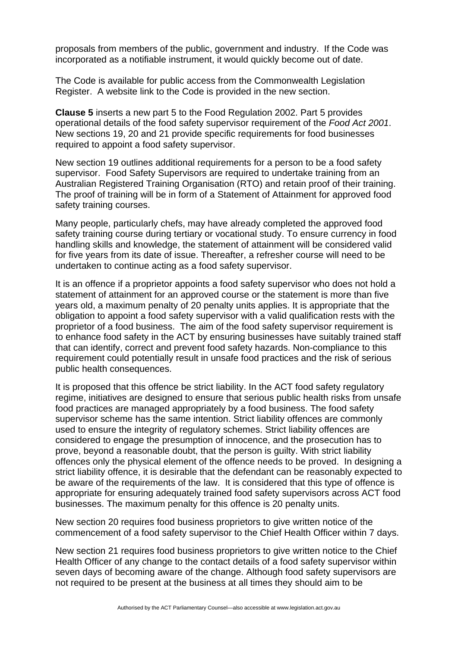proposals from members of the public, government and industry. If the Code was incorporated as a notifiable instrument, it would quickly become out of date.

The Code is available for public access from the Commonwealth Legislation Register. A website link to the Code is provided in the new section.

**Clause 5** inserts a new part 5 to the Food Regulation 2002. Part 5 provides operational details of the food safety supervisor requirement of the *Food Act 2001*. New sections 19, 20 and 21 provide specific requirements for food businesses required to appoint a food safety supervisor.

New section 19 outlines additional requirements for a person to be a food safety supervisor. Food Safety Supervisors are required to undertake training from an Australian Registered Training Organisation (RTO) and retain proof of their training. The proof of training will be in form of a Statement of Attainment for approved food safety training courses.

Many people, particularly chefs, may have already completed the approved food safety training course during tertiary or vocational study. To ensure currency in food handling skills and knowledge, the statement of attainment will be considered valid for five years from its date of issue. Thereafter, a refresher course will need to be undertaken to continue acting as a food safety supervisor.

It is an offence if a proprietor appoints a food safety supervisor who does not hold a statement of attainment for an approved course or the statement is more than five years old, a maximum penalty of 20 penalty units applies. It is appropriate that the obligation to appoint a food safety supervisor with a valid qualification rests with the proprietor of a food business. The aim of the food safety supervisor requirement is to enhance food safety in the ACT by ensuring businesses have suitably trained staff that can identify, correct and prevent food safety hazards. Non-compliance to this requirement could potentially result in unsafe food practices and the risk of serious public health consequences.

It is proposed that this offence be strict liability. In the ACT food safety regulatory regime, initiatives are designed to ensure that serious public health risks from unsafe food practices are managed appropriately by a food business. The food safety supervisor scheme has the same intention. Strict liability offences are commonly used to ensure the integrity of regulatory schemes. Strict liability offences are considered to engage the presumption of innocence, and the prosecution has to prove, beyond a reasonable doubt, that the person is guilty. With strict liability offences only the physical element of the offence needs to be proved. In designing a strict liability offence, it is desirable that the defendant can be reasonably expected to be aware of the requirements of the law. It is considered that this type of offence is appropriate for ensuring adequately trained food safety supervisors across ACT food businesses. The maximum penalty for this offence is 20 penalty units.

New section 20 requires food business proprietors to give written notice of the commencement of a food safety supervisor to the Chief Health Officer within 7 days.

New section 21 requires food business proprietors to give written notice to the Chief Health Officer of any change to the contact details of a food safety supervisor within seven days of becoming aware of the change. Although food safety supervisors are not required to be present at the business at all times they should aim to be